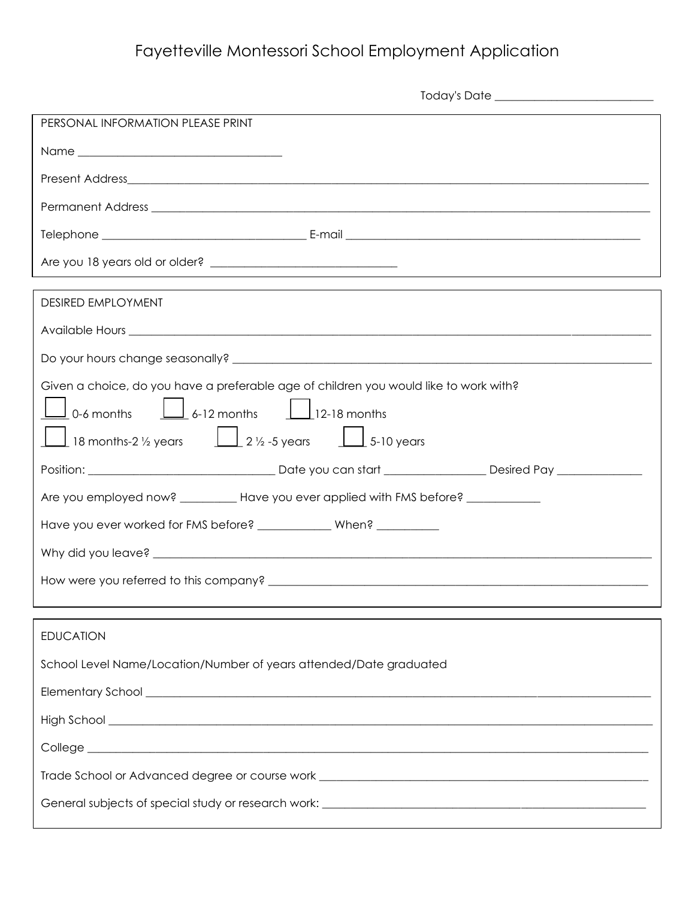## Fayetteville Montessori School Employment Application

| PERSONAL INFORMATION PLEASE PRINT                                                                                                                        |  |  |  |  |
|----------------------------------------------------------------------------------------------------------------------------------------------------------|--|--|--|--|
|                                                                                                                                                          |  |  |  |  |
|                                                                                                                                                          |  |  |  |  |
|                                                                                                                                                          |  |  |  |  |
|                                                                                                                                                          |  |  |  |  |
| and the control of the control of the control of the control of the control of the control of the control of the                                         |  |  |  |  |
| <b>DESIRED EMPLOYMENT</b>                                                                                                                                |  |  |  |  |
|                                                                                                                                                          |  |  |  |  |
|                                                                                                                                                          |  |  |  |  |
| Given a choice, do you have a preferable age of children you would like to work with?                                                                    |  |  |  |  |
| $\frac{1}{2}$ 0-6 months $\frac{1}{2}$ 6-12 months $\frac{1}{2}$ 12-18 months<br>18 months-2 1/2 years $\boxed{12}$ 1/2 -5 years $\boxed{12}$ 5-10 years |  |  |  |  |
|                                                                                                                                                          |  |  |  |  |
| Are you employed now? _________ Have you ever applied with FMS before? __________                                                                        |  |  |  |  |
| Have you ever worked for FMS before? _____________ When? _________                                                                                       |  |  |  |  |
|                                                                                                                                                          |  |  |  |  |
|                                                                                                                                                          |  |  |  |  |
|                                                                                                                                                          |  |  |  |  |
| <b>EDUCATION</b>                                                                                                                                         |  |  |  |  |
| School Level Name/Location/Number of years attended/Date graduated                                                                                       |  |  |  |  |
|                                                                                                                                                          |  |  |  |  |
|                                                                                                                                                          |  |  |  |  |
|                                                                                                                                                          |  |  |  |  |
| Trade School or Advanced degree or course work __________________________________                                                                        |  |  |  |  |
|                                                                                                                                                          |  |  |  |  |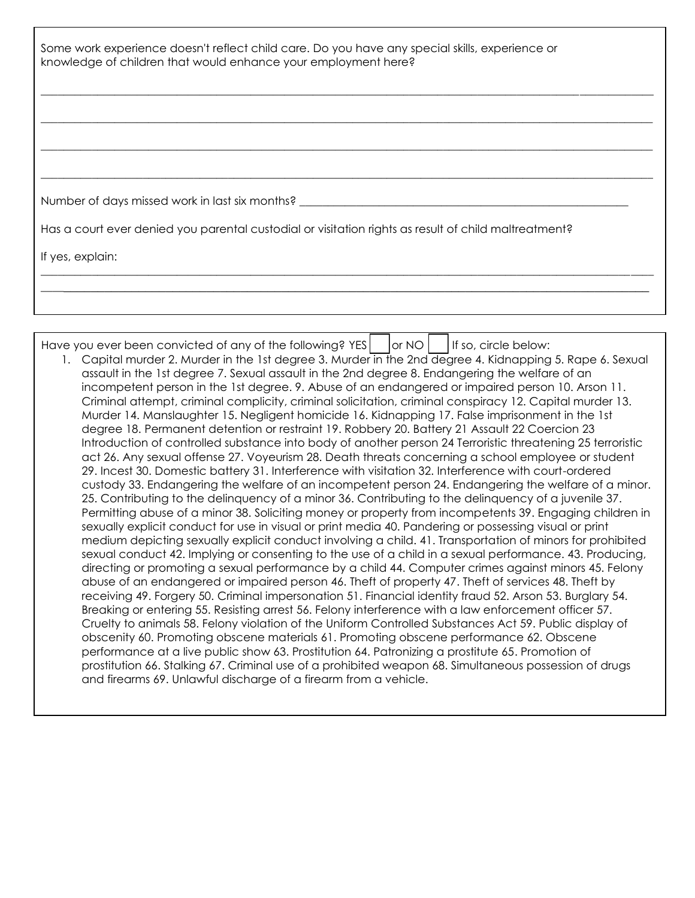| Some work experience doesn't reflect child care. Do you have any special skills, experience or<br>knowledge of children that would enhance your employment here? |  |  |  |  |
|------------------------------------------------------------------------------------------------------------------------------------------------------------------|--|--|--|--|
|                                                                                                                                                                  |  |  |  |  |
|                                                                                                                                                                  |  |  |  |  |
|                                                                                                                                                                  |  |  |  |  |
| Number of days missed work in last six months? _________________________________                                                                                 |  |  |  |  |
| Has a court ever denied you parental custodial or visitation rights as result of child maltreatment?                                                             |  |  |  |  |
| If yes, explain:                                                                                                                                                 |  |  |  |  |
|                                                                                                                                                                  |  |  |  |  |
|                                                                                                                                                                  |  |  |  |  |

Have you ever been convicted of any of the following? YES  $|$  or NO  $|$  if so, circle below: 1. Capital murder 2. Murder in the 1st degree 3. Murder in the 2nd degree 4. Kidnapping 5. Rape 6. Sexual

assault in the 1st degree 7. Sexual assault in the 2nd degree 8. Endangering the welfare of an incompetent person in the 1st degree. 9. Abuse of an endangered or impaired person 10. Arson 11. Criminal attempt, criminal complicity, criminal solicitation, criminal conspiracy 12. Capital murder 13. Murder 14. Manslaughter 15. Negligent homicide 16. Kidnapping 17. False imprisonment in the 1st degree 18. Permanent detention or restraint 19. Robbery 20. Battery 21 Assault 22 Coercion 23 Introduction of controlled substance into body of another person 24 Terroristic threatening 25 terroristic act 26. Any sexual offense 27. Voyeurism 28. Death threats concerning a school employee or student 29. Incest 30. Domestic battery 31. Interference with visitation 32. Interference with court-ordered custody 33. Endangering the welfare of an incompetent person 24. Endangering the welfare of a minor. 25. Contributing to the delinquency of a minor 36. Contributing to the delinquency of a juvenile 37. Permitting abuse of a minor 38. Soliciting money or property from incompetents 39. Engaging children in sexually explicit conduct for use in visual or print media 40. Pandering or possessing visual or print medium depicting sexually explicit conduct involving a child. 41. Transportation of minors for prohibited sexual conduct 42. Implying or consenting to the use of a child in a sexual performance. 43. Producing, directing or promoting a sexual performance by a child 44. Computer crimes against minors 45. Felony abuse of an endangered or impaired person 46. Theft of property 47. Theft of services 48. Theft by receiving 49. Forgery 50. Criminal impersonation 51. Financial identity fraud 52. Arson 53. Burglary 54. Breaking or entering 55. Resisting arrest 56. Felony interference with a law enforcement officer 57. Cruelty to animals 58. Felony violation of the Uniform Controlled Substances Act 59. Public display of obscenity 60. Promoting obscene materials 61. Promoting obscene performance 62. Obscene performance at a live public show 63. Prostitution 64. Patronizing a prostitute 65. Promotion of prostitution 66. Stalking 67. Criminal use of a prohibited weapon 68. Simultaneous possession of drugs and firearms 69. Unlawful discharge of a firearm from a vehicle.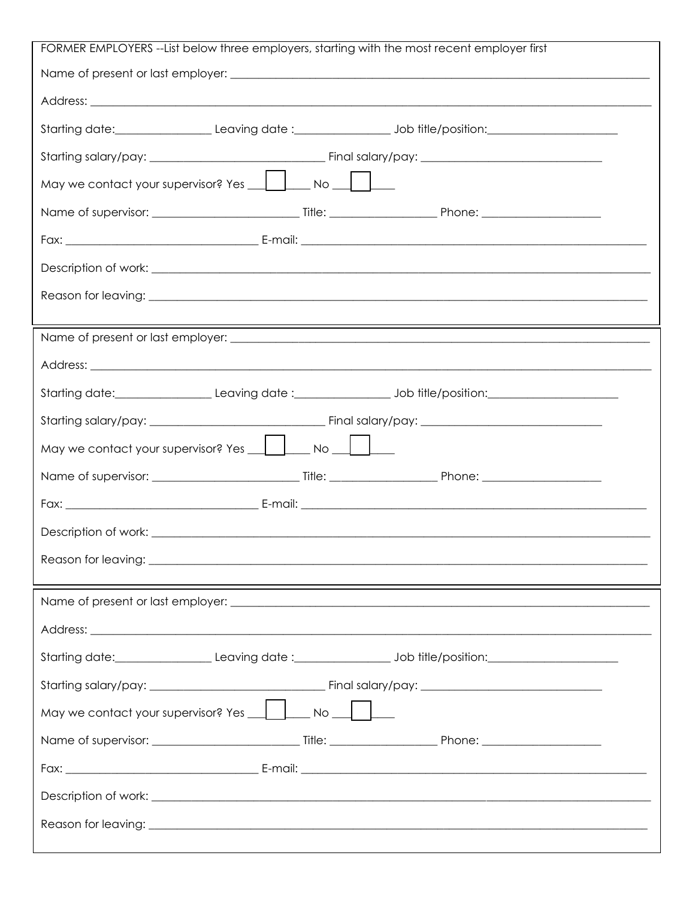| FORMER EMPLOYERS --List below three employers, starting with the most recent employer first |  |  |  |  |  |
|---------------------------------------------------------------------------------------------|--|--|--|--|--|
|                                                                                             |  |  |  |  |  |
|                                                                                             |  |  |  |  |  |
|                                                                                             |  |  |  |  |  |
|                                                                                             |  |  |  |  |  |
|                                                                                             |  |  |  |  |  |
|                                                                                             |  |  |  |  |  |
|                                                                                             |  |  |  |  |  |
|                                                                                             |  |  |  |  |  |
|                                                                                             |  |  |  |  |  |
|                                                                                             |  |  |  |  |  |
|                                                                                             |  |  |  |  |  |
|                                                                                             |  |  |  |  |  |
|                                                                                             |  |  |  |  |  |
|                                                                                             |  |  |  |  |  |
|                                                                                             |  |  |  |  |  |
|                                                                                             |  |  |  |  |  |
|                                                                                             |  |  |  |  |  |
|                                                                                             |  |  |  |  |  |
|                                                                                             |  |  |  |  |  |
|                                                                                             |  |  |  |  |  |
|                                                                                             |  |  |  |  |  |
|                                                                                             |  |  |  |  |  |
|                                                                                             |  |  |  |  |  |
|                                                                                             |  |  |  |  |  |
|                                                                                             |  |  |  |  |  |
|                                                                                             |  |  |  |  |  |
|                                                                                             |  |  |  |  |  |
|                                                                                             |  |  |  |  |  |
|                                                                                             |  |  |  |  |  |
|                                                                                             |  |  |  |  |  |